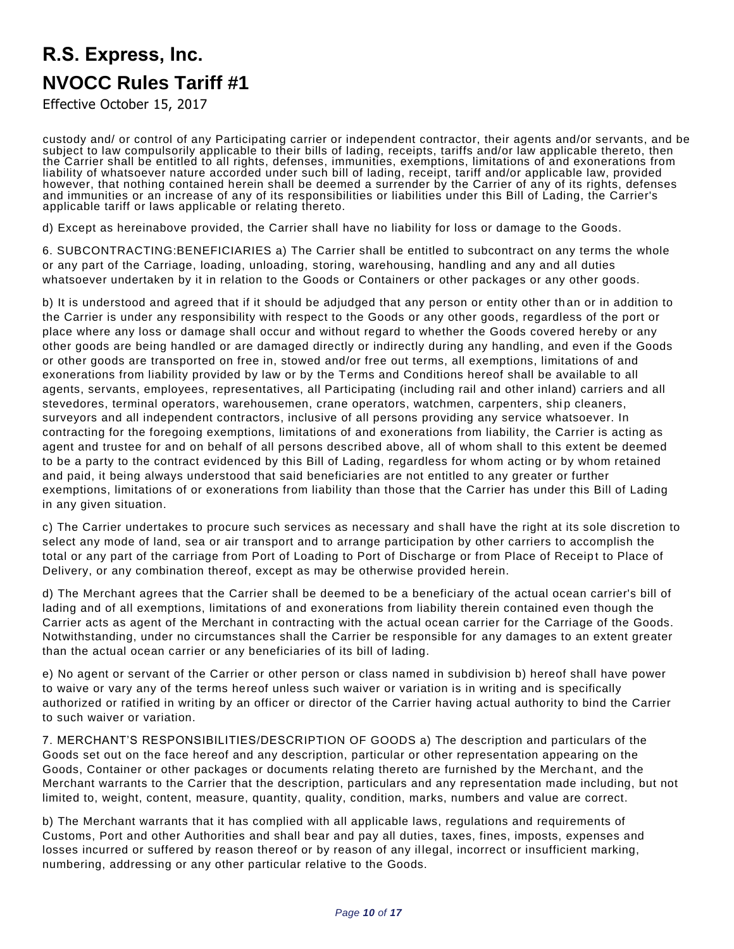Effective E**N** 

custody and/ or control of any Participating carrier or independent contractor, their agents and/or servants, and be subject to law compulsorily applicable to their bills of lading, receipts, tariffs and/or law applicable thereto, then the Carrier shall be entitled to all rights, defenses, immunities, exemptions, limitations of and exonerations from liability of whatsoever nature accorded under such bill of lading, receipt, tariff and/or applicable law, provided however, that nothing contained herein shall be deemed a surrender by the Carrier of any of its rights, defenses and immunities or an increase of any of its responsibilities or liabilities under this Bill of Lading, the Carrier's applicable tariff or laws applicable or relating thereto.

d) Except as hereinabove provided, the Carrier shall have no liability for loss or damage to the Goods.

6. SUBCONTRACTING:BENEFICIARIES a) The Carrier shall be entitled to subcontract on any terms the whole or any part of the Carriage, loading, unloading, storing, warehousing, handling and any and all duties whatsoever undertaken by it in relation to the Goods or Containers or other packages or any other goods.

b) It is understood and agreed that if it should be adjudged that any person or entity other than or in addition to the Carrier is under any responsibility with respect to the Goods or any other goods, regardless of the port or place where any loss or damage shall occur and without regard to whether the Goods covered hereby or any other goods are being handled or are damaged directly or indirectly during any handling, and even if the Goods or other goods are transported on free in, stowed and/or free out terms, all exemptions, limitations of and exonerations from liability provided by law or by the Terms and Conditions hereof shall be available to all agents, servants, employees, representatives, all Participating (including rail and other inland) carriers and all stevedores, terminal operators, warehousemen, crane operators, watchmen, carpenters, ship cleaners, surveyors and all independent contractors, inclusive of all persons providing any service whatsoever. In contracting for the foregoing exemptions, limitations of and exonerations from liability, the Carrier is acting as agent and trustee for and on behalf of all persons described above, all of whom shall to this extent be deemed to be a party to the contract evidenced by this Bill of Lading, regardless for whom acting or by whom retained and paid, it being always understood that said beneficiaries are not entitled to any greater or further exemptions, limitations of or exonerations from liability than those that the Carrier has under this Bill of Lading in any given situation.

c) The Carrier undertakes to procure such services as necessary and shall have the right at its sole discretion to select any mode of land, sea or air transport and to arrange participation by other carriers to accomplish the total or any part of the carriage from Port of Loading to Port of Discharge or from Place of Receip t to Place of Delivery, or any combination thereof, except as may be otherwise provided herein.

d) The Merchant agrees that the Carrier shall be deemed to be a beneficiary of the actual ocean carrier's bill of lading and of all exemptions, limitations of and exonerations from liability therein contained even though the Carrier acts as agent of the Merchant in contracting with the actual ocean carrier for the Carriage of the Goods. Notwithstanding, under no circumstances shall the Carrier be responsible for any damages to an extent greater than the actual ocean carrier or any beneficiaries of its bill of lading.

e) No agent or servant of the Carrier or other person or class named in subdivision b) hereof shall have power to waive or vary any of the terms hereof unless such waiver or variation is in writing and is specifically authorized or ratified in writing by an officer or director of the Carrier having actual authority to bind the Carrier to such waiver or variation.

7. MERCHANT'S RESPONSIBILITIES/DESCRIPTION OF GOODS a) The description and particulars of the Goods set out on the face hereof and any description, particular or other representation appearing on the Goods, Container or other packages or documents relating thereto are furnished by the Merchant, and the Merchant warrants to the Carrier that the description, particulars and any representation made including, but not limited to, weight, content, measure, quantity, quality, condition, marks, numbers and value are correct.

b) The Merchant warrants that it has complied with all applicable laws, regulations and requirements of Customs, Port and other Authorities and shall bear and pay all duties, taxes, fines, imposts, expenses and losses incurred or suffered by reason thereof or by reason of any il legal, incorrect or insufficient marking, numbering, addressing or any other particular relative to the Goods.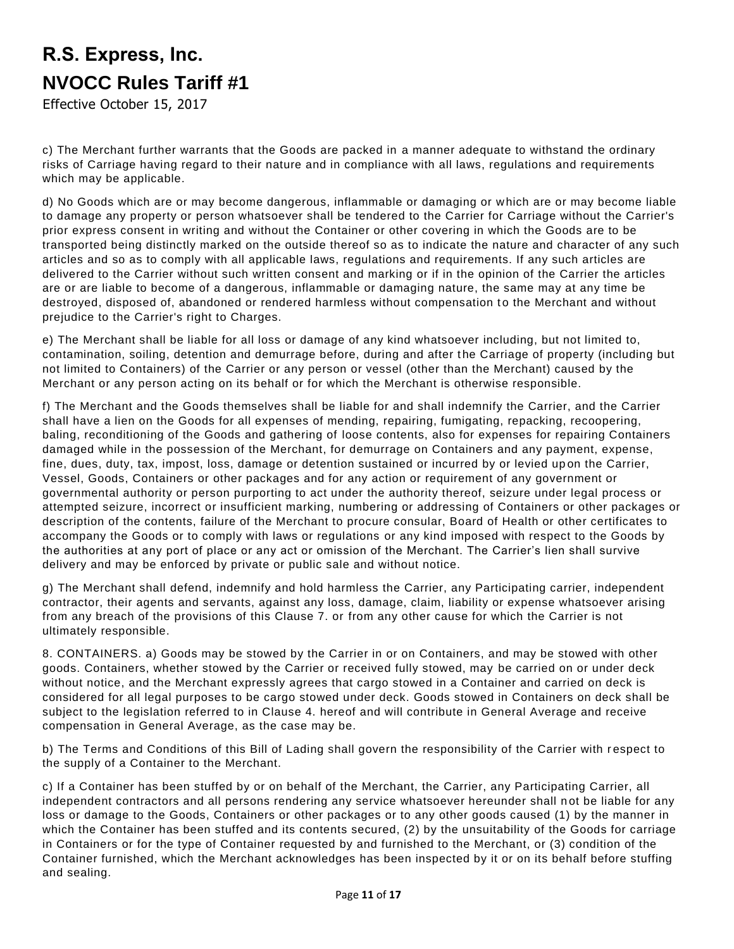Effective February 7, 2014

c) The Merchant further warrants that the Goods are packed in a manner adequate to withstand the ordinary risks of Carriage having regard to their nature and in compliance with all laws, regulations and requirements which may be applicable.

d) No Goods which are or may become dangerous, inflammable or damaging or w hich are or may become liable to damage any property or person whatsoever shall be tendered to the Carrier for Carriage without the Carrier's prior express consent in writing and without the Container or other covering in which the Goods are to be transported being distinctly marked on the outside thereof so as to indicate the nature and character of any such articles and so as to comply with all applicable laws, regulations and requirements. If any such articles are delivered to the Carrier without such written consent and marking or if in the opinion of the Carrier the articles are or are liable to become of a dangerous, inflammable or damaging nature, the same may at any time be destroyed, disposed of, abandoned or rendered harmless without compensation to the Merchant and without prejudice to the Carrier's right to Charges.

e) The Merchant shall be liable for all loss or damage of any kind whatsoever including, but not limited to, contamination, soiling, detention and demurrage before, during and after t he Carriage of property (including but not limited to Containers) of the Carrier or any person or vessel (other than the Merchant) caused by the Merchant or any person acting on its behalf or for which the Merchant is otherwise responsible.

f) The Merchant and the Goods themselves shall be liable for and shall indemnify the Carrier, and the Carrier shall have a lien on the Goods for all expenses of mending, repairing, fumigating, repacking, recoopering, baling, reconditioning of the Goods and gathering of loose contents, also for expenses for repairing Containers damaged while in the possession of the Merchant, for demurrage on Containers and any payment, expense, fine, dues, duty, tax, impost, loss, damage or detention sustained or incurred by or levied up on the Carrier, Vessel, Goods, Containers or other packages and for any action or requirement of any government or governmental authority or person purporting to act under the authority thereof, seizure under legal process or attempted seizure, incorrect or insufficient marking, numbering or addressing of Containers or other packages or description of the contents, failure of the Merchant to procure consular, Board of Health or other certificates to accompany the Goods or to comply with laws or regulations or any kind imposed with respect to the Goods by the authorities at any port of place or any act or omission of the Merchant. The Carrier's lien shall survive delivery and may be enforced by private or public sale and without notice.

g) The Merchant shall defend, indemnify and hold harmless the Carrier, any Participating carrier, independent contractor, their agents and servants, against any loss, damage, claim, liability or expense whatsoever arising from any breach of the provisions of this Clause 7. or from any other cause for which the Carrier is not ultimately responsible.

8. CONTAINERS. a) Goods may be stowed by the Carrier in or on Containers, and may be stowed with other goods. Containers, whether stowed by the Carrier or received fully stowed, may be carried on or under deck without notice, and the Merchant expressly agrees that cargo stowed in a Container and carried on deck is considered for all legal purposes to be cargo stowed under deck. Goods stowed in Containers on deck shall be subject to the legislation referred to in Clause 4. hereof and will contribute in General Average and receive compensation in General Average, as the case may be.

b) The Terms and Conditions of this Bill of Lading shall govern the responsibility of the Carrier with r espect to the supply of a Container to the Merchant.

c) If a Container has been stuffed by or on behalf of the Merchant, the Carrier, any Participating Carrier, all independent contractors and all persons rendering any service whatsoever hereunder shall n ot be liable for any loss or damage to the Goods, Containers or other packages or to any other goods caused (1) by the manner in which the Container has been stuffed and its contents secured, (2) by the unsuitability of the Goods for carriage in Containers or for the type of Container requested by and furnished to the Merchant, or (3) condition of the Container furnished, which the Merchant acknowledges has been inspected by it or on its behalf before stuffing and sealing.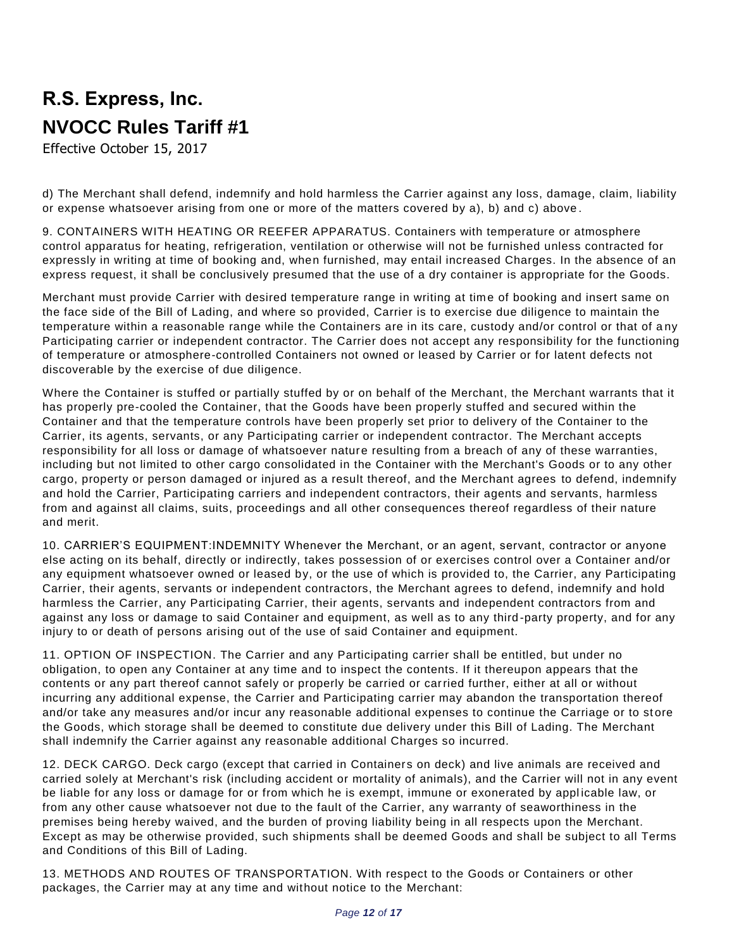Effective February 7, 2014

d) The Merchant shall defend, indemnify and hold harmless the Carrier against any loss, damage, claim, liability or expense whatsoever arising from one or more of the matters covered by a), b) and c) above .

9. CONTAINERS WITH HEATING OR REEFER APPARATUS. Containers with temperature or atmosphere control apparatus for heating, refrigeration, ventilation or otherwise will not be furnished unless contracted for expressly in writing at time of booking and, when furnished, may entail increased Charges. In the absence of an express request, it shall be conclusively presumed that the use of a dry container is appropriate for the Goods.

Merchant must provide Carrier with desired temperature range in writing at time of booking and insert same on the face side of the Bill of Lading, and where so provided, Carrier is to exercise due diligence to maintain the temperature within a reasonable range while the Containers are in its care, custody and/or control or that of a ny Participating carrier or independent contractor. The Carrier does not accept any responsibility for the functioning of temperature or atmosphere-controlled Containers not owned or leased by Carrier or for latent defects not discoverable by the exercise of due diligence.

Where the Container is stuffed or partially stuffed by or on behalf of the Merchant, the Merchant warrants that it has properly pre-cooled the Container, that the Goods have been properly stuffed and secured within the Container and that the temperature controls have been properly set prior to delivery of the Container to the Carrier, its agents, servants, or any Participating carrier or independent contractor. The Merchant accepts responsibility for all loss or damage of whatsoever nature resulting from a breach of any of these warranties, including but not limited to other cargo consolidated in the Container with the Merchant's Goods or to any other cargo, property or person damaged or injured as a result thereof, and the Merchant agrees to defend, indemnify and hold the Carrier, Participating carriers and independent contractors, their agents and servants, harmless from and against all claims, suits, proceedings and all other consequences thereof regardless of their nature and merit.

10. CARRIER'S EQUIPMENT:INDEMNITY Whenever the Merchant, or an agent, servant, contractor or anyone else acting on its behalf, directly or indirectly, takes possession of or exercises control over a Container and/or any equipment whatsoever owned or leased by, or the use of which is provided to, the Carrier, any Participating Carrier, their agents, servants or independent contractors, the Merchant agrees to defend, indemnify and hold harmless the Carrier, any Participating Carrier, their agents, servants and independent contractors from and against any loss or damage to said Container and equipment, as well as to any third -party property, and for any injury to or death of persons arising out of the use of said Container and equipment.

11. OPTION OF INSPECTION. The Carrier and any Participating carrier shall be entitled, but under no obligation, to open any Container at any time and to inspect the contents. If it thereupon appears that the contents or any part thereof cannot safely or properly be carried or carried further, either at all or without incurring any additional expense, the Carrier and Participating carrier may abandon the transportation thereof and/or take any measures and/or incur any reasonable additional expenses to continue the Carriage or to store the Goods, which storage shall be deemed to constitute due delivery under this Bill of Lading. The Merchant shall indemnify the Carrier against any reasonable additional Charges so incurred.

12. DECK CARGO. Deck cargo (except that carried in Containers on deck) and live animals are received and carried solely at Merchant's risk (including accident or mortality of animals), and the Carrier will not in any event be liable for any loss or damage for or from which he is exempt, immune or exonerated by applicable law, or from any other cause whatsoever not due to the fault of the Carrier, any warranty of seaworthiness in the premises being hereby waived, and the burden of proving liability being in all respects upon the Merchant. Except as may be otherwise provided, such shipments shall be deemed Goods and shall be subject to all Terms and Conditions of this Bill of Lading.

13. METHODS AND ROUTES OF TRANSPORTATION. With respect to the Goods or Containers or other packages, the Carrier may at any time and without notice to the Merchant: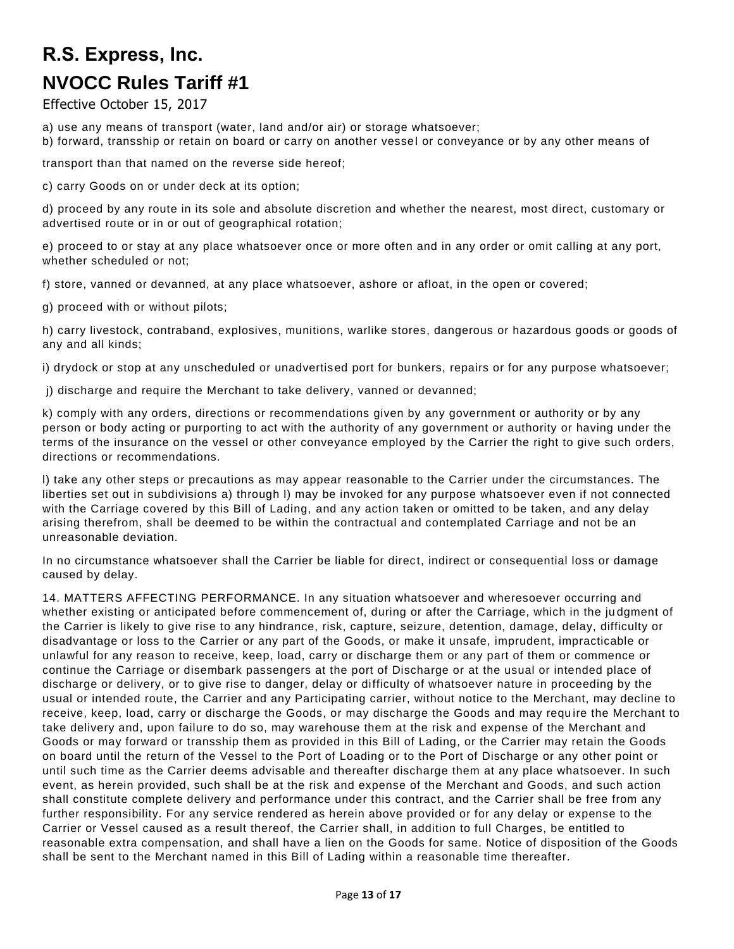Effective February 7, 2014

a) use any means of transport (water, land and/or air) or storage whatsoever;

b) forward, transship or retain on board or carry on another vessel or conveyance or by any other means of

transport than that named on the reverse side hereof;

c) carry Goods on or under deck at its option;

d) proceed by any route in its sole and absolute discretion and whether the nearest, most direct, customary or advertised route or in or out of geographical rotation;

e) proceed to or stay at any place whatsoever once or more often and in any order or omit calling at any port, whether scheduled or not;

f) store, vanned or devanned, at any place whatsoever, ashore or afloat, in the open or covered;

g) proceed with or without pilots;

h) carry livestock, contraband, explosives, munitions, warlike stores, dangerous or hazardous goods or goods of any and all kinds;

i) drydock or stop at any unscheduled or unadvertised port for bunkers, repairs or for any purpose whatsoever;

j) discharge and require the Merchant to take delivery, vanned or devanned;

k) comply with any orders, directions or recommendations given by any government or authority or by any person or body acting or purporting to act with the authority of any government or authority or having under the terms of the insurance on the vessel or other conveyance employed by the Carrier the right to give such orders, directions or recommendations.

l) take any other steps or precautions as may appear reasonable to the Carrier under the circumstances. The liberties set out in subdivisions a) through l) may be invoked for any purpose whatsoever even if not connected with the Carriage covered by this Bill of Lading, and any action taken or omitted to be taken, and any delay arising therefrom, shall be deemed to be within the contractual and contemplated Carriage and not be an unreasonable deviation.

In no circumstance whatsoever shall the Carrier be liable for direct, indirect or consequential loss or damage caused by delay.

14. MATTERS AFFECTING PERFORMANCE. In any situation whatsoever and wheresoever occurring and whether existing or anticipated before commencement of, during or after the Carriage, which in the ju dgment of the Carrier is likely to give rise to any hindrance, risk, capture, seizure, detention, damage, delay, difficulty or disadvantage or loss to the Carrier or any part of the Goods, or make it unsafe, imprudent, impracticable or unlawful for any reason to receive, keep, load, carry or discharge them or any part of them or commence or continue the Carriage or disembark passengers at the port of Discharge or at the usual or intended place of discharge or delivery, or to give rise to danger, delay or difficulty of whatsoever nature in proceeding by the usual or intended route, the Carrier and any Participating carrier, without notice to the Merchant, may decline to receive, keep, load, carry or discharge the Goods, or may discharge the Goods and may require the Merchant to take delivery and, upon failure to do so, may warehouse them at the risk and expense of the Merchant and Goods or may forward or transship them as provided in this Bill of Lading, or the Carrier may retain the Goods on board until the return of the Vessel to the Port of Loading or to the Port of Discharge or any other point or until such time as the Carrier deems advisable and thereafter discharge them at any place whatsoever. In such event, as herein provided, such shall be at the risk and expense of the Merchant and Goods, and such action shall constitute complete delivery and performance under this contract, and the Carrier shall be free from any further responsibility. For any service rendered as herein above provided or for any delay or expense to the Carrier or Vessel caused as a result thereof, the Carrier shall, in addition to full Charges, be entitled to reasonable extra compensation, and shall have a lien on the Goods for same. Notice of disposition of the Goods shall be sent to the Merchant named in this Bill of Lading within a reasonable time thereafter.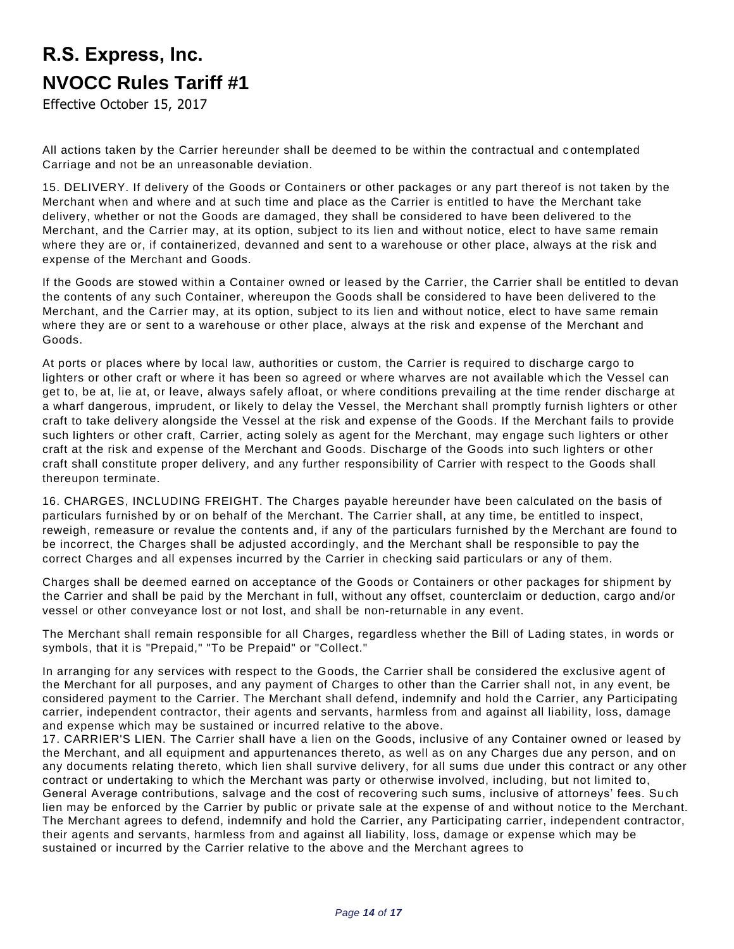Effective February 7, 2014

All actions taken by the Carrier hereunder shall be deemed to be within the contractual and c ontemplated Carriage and not be an unreasonable deviation.

15. DELIVERY. If delivery of the Goods or Containers or other packages or any part thereof is not taken by the Merchant when and where and at such time and place as the Carrier is entitled to have the Merchant take delivery, whether or not the Goods are damaged, they shall be considered to have been delivered to the Merchant, and the Carrier may, at its option, subject to its lien and without notice, elect to have same remain where they are or, if containerized, devanned and sent to a warehouse or other place, always at the risk and expense of the Merchant and Goods.

If the Goods are stowed within a Container owned or leased by the Carrier, the Carrier shall be entitled to devan the contents of any such Container, whereupon the Goods shall be considered to have been delivered to the Merchant, and the Carrier may, at its option, subject to its lien and without notice, elect to have same remain where they are or sent to a warehouse or other place, always at the risk and expense of the Merchant and Goods.

At ports or places where by local law, authorities or custom, the Carrier is required to discharge cargo to lighters or other craft or where it has been so agreed or where wharves are not available which the Vessel can get to, be at, lie at, or leave, always safely afloat, or where conditions prevailing at the time render discharge at a wharf dangerous, imprudent, or likely to delay the Vessel, the Merchant shall promptly furnish lighters or other craft to take delivery alongside the Vessel at the risk and expense of the Goods. If the Merchant fails to provide such lighters or other craft, Carrier, acting solely as agent for the Merchant, may engage such lighters or other craft at the risk and expense of the Merchant and Goods. Discharge of the Goods into such lighters or other craft shall constitute proper delivery, and any further responsibility of Carrier with respect to the Goods shall thereupon terminate.

16. CHARGES, INCLUDING FREIGHT. The Charges payable hereunder have been calculated on the basis of particulars furnished by or on behalf of the Merchant. The Carrier shall, at any time, be entitled to inspect, reweigh, remeasure or revalue the contents and, if any of the particulars furnished by the Merchant are found to be incorrect, the Charges shall be adjusted accordingly, and the Merchant shall be responsible to pay the correct Charges and all expenses incurred by the Carrier in checking said particulars or any of them.

Charges shall be deemed earned on acceptance of the Goods or Containers or other packages for shipment by the Carrier and shall be paid by the Merchant in full, without any offset, counterclaim or deduction, cargo and/or vessel or other conveyance lost or not lost, and shall be non-returnable in any event.

The Merchant shall remain responsible for all Charges, regardless whether the Bill of Lading states, in words or symbols, that it is "Prepaid," "To be Prepaid" or "Collect."

In arranging for any services with respect to the Goods, the Carrier shall be considered the exclusive agent of the Merchant for all purposes, and any payment of Charges to other than the Carrier shall not, in any event, be considered payment to the Carrier. The Merchant shall defend, indemnify and hold the Carrier, any Participating carrier, independent contractor, their agents and servants, harmless from and against all liability, loss, damage and expense which may be sustained or incurred relative to the above.

17. CARRIER'S LIEN. The Carrier shall have a lien on the Goods, inclusive of any Container owned or leased by the Merchant, and all equipment and appurtenances thereto, as well as on any Charges due any person, and on any documents relating thereto, which lien shall survive delivery, for all sums due under this contract or any other contract or undertaking to which the Merchant was party or otherwise involved, including, but not limited to, General Average contributions, salvage and the cost of recovering such sums, inclusive of attorneys' fees. Su ch lien may be enforced by the Carrier by public or private sale at the expense of and without notice to the Merchant. The Merchant agrees to defend, indemnify and hold the Carrier, any Participating carrier, independent contractor, their agents and servants, harmless from and against all liability, loss, damage or expense which may be sustained or incurred by the Carrier relative to the above and the Merchant agrees to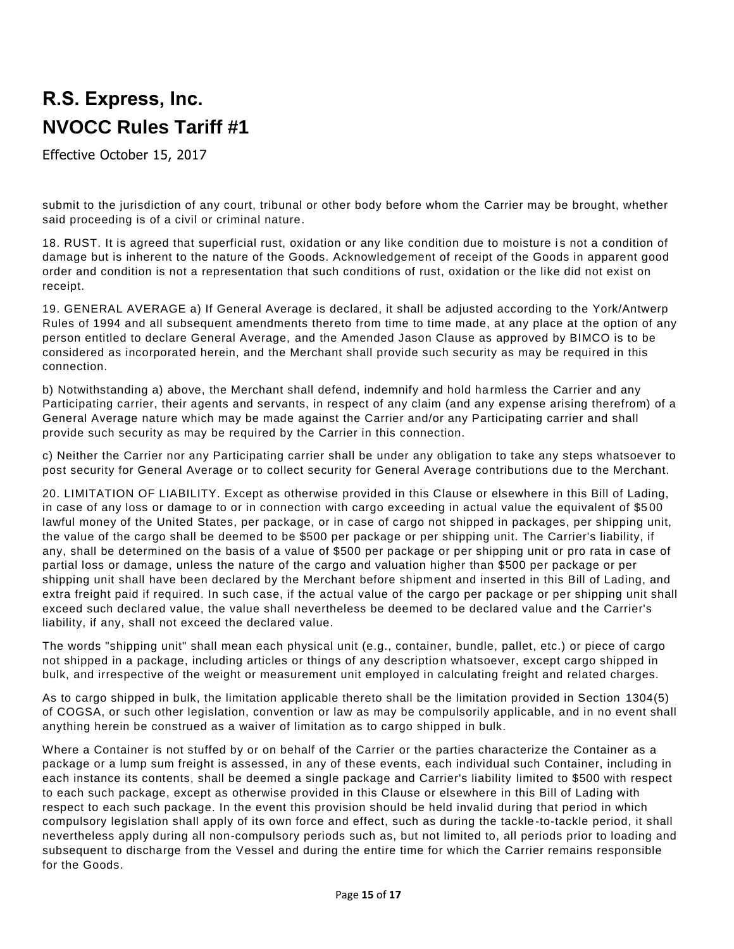Effective February 7, 2014

submit to the jurisdiction of any court, tribunal or other body before whom the Carrier may be brought, whether said proceeding is of a civil or criminal nature.

18. RUST. It is agreed that superficial rust, oxidation or any like condition due to moisture is not a condition of damage but is inherent to the nature of the Goods. Acknowledgement of receipt of the Goods in apparent good order and condition is not a representation that such conditions of rust, oxidation or the like did not exist on receipt.

19. GENERAL AVERAGE a) If General Average is declared, it shall be adjusted according to the York/Antwerp Rules of 1994 and all subsequent amendments thereto from time to time made, at any place at the option of any person entitled to declare General Average, and the Amended Jason Clause as approved by BIMCO is to be considered as incorporated herein, and the Merchant shall provide such security as may be required in this connection.

b) Notwithstanding a) above, the Merchant shall defend, indemnify and hold ha rmless the Carrier and any Participating carrier, their agents and servants, in respect of any claim (and any expense arising therefrom) of a General Average nature which may be made against the Carrier and/or any Participating carrier and shall provide such security as may be required by the Carrier in this connection.

c) Neither the Carrier nor any Participating carrier shall be under any obligation to take any steps whatsoever to post security for General Average or to collect security for General Average contributions due to the Merchant.

20. LIMITATION OF LIABILITY. Except as otherwise provided in this Clause or elsewhere in this Bill of Lading, in case of any loss or damage to or in connection with cargo exceeding in actual value the equivalent of \$5 00 lawful money of the United States, per package, or in case of cargo not shipped in packages, per shipping unit, the value of the cargo shall be deemed to be \$500 per package or per shipping unit. The Carrier's liability, if any, shall be determined on the basis of a value of \$500 per package or per shipping unit or pro rata in case of partial loss or damage, unless the nature of the cargo and valuation higher than \$500 per package or per shipping unit shall have been declared by the Merchant before shipment and inserted in this Bill of Lading, and extra freight paid if required. In such case, if the actual value of the cargo per package or per shipping unit shall exceed such declared value, the value shall nevertheless be deemed to be declared value and the Carrier's liability, if any, shall not exceed the declared value.

The words "shipping unit" shall mean each physical unit (e.g., container, bundle, pallet, etc.) or piece of cargo not shipped in a package, including articles or things of any description whatsoever, except cargo shipped in bulk, and irrespective of the weight or measurement unit employed in calculating freight and related charges.

As to cargo shipped in bulk, the limitation applicable thereto shall be the limitation provided in Section 1304(5) of COGSA, or such other legislation, convention or law as may be compulsorily applicable, and in no event shall anything herein be construed as a waiver of limitation as to cargo shipped in bulk.

Where a Container is not stuffed by or on behalf of the Carrier or the parties characterize the Container as a package or a lump sum freight is assessed, in any of these events, each individual such Container, including in each instance its contents, shall be deemed a single package and Carrier's liability limited to \$500 with respect to each such package, except as otherwise provided in this Clause or elsewhere in this Bill of Lading with respect to each such package. In the event this provision should be held invalid during that period in which compulsory legislation shall apply of its own force and effect, such as during the tackle -to-tackle period, it shall nevertheless apply during all non-compulsory periods such as, but not limited to, all periods prior to loading and subsequent to discharge from the Vessel and during the entire time for which the Carrier remains responsible for the Goods.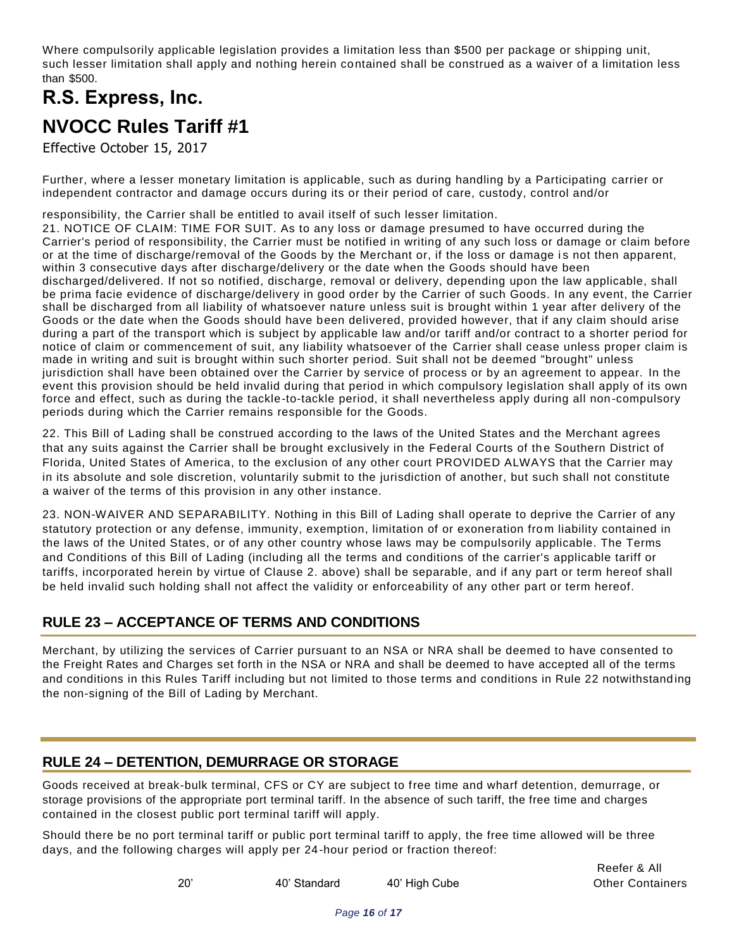Where compulsorily applicable legislation provides a limitation less than \$500 per package or shipping unit, such lesser limitation shall apply and nothing herein contained shall be construed as a waiver of a limitation less than \$500.

### **R.S. Express, Inc. NVOCC Rules Tariff #1**

Effective February 7, 2014

Further, where a lesser monetary limitation is applicable, such as during handling by a Participating carrier or independent contractor and damage occurs during its or their period of care, custody, control and/or

responsibility, the Carrier shall be entitled to avail itself of such lesser limitation.

21. NOTICE OF CLAIM: TIME FOR SUIT. As to any loss or damage presumed to have occurred during the Carrier's period of responsibility, the Carrier must be notified in writing of any such loss or damage or claim before or at the time of discharge/removal of the Goods by the Merchant or, if the loss or damage is not then apparent, within 3 consecutive days after discharge/delivery or the date when the Goods should have been discharged/delivered. If not so notified, discharge, removal or delivery, depending upon the law applicable, shall be prima facie evidence of discharge/delivery in good order by the Carrier of such Goods. In any event, the Carrier shall be discharged from all liability of whatsoever nature unless suit is brought within 1 year after delivery of the Goods or the date when the Goods should have been delivered, provided however, that if any claim should arise during a part of the transport which is subject by applicable law and/or tariff and/or contract to a shorter period for notice of claim or commencement of suit, any liability whatsoever of the Carrier shall cease unless proper claim is made in writing and suit is brought within such shorter period. Suit shall not be deemed "brought" unless jurisdiction shall have been obtained over the Carrier by service of process or by an agreement to appear. In the event this provision should be held invalid during that period in which compulsory legislation shall apply of its own force and effect, such as during the tackle-to-tackle period, it shall nevertheless apply during all non-compulsory periods during which the Carrier remains responsible for the Goods.

22. This Bill of Lading shall be construed according to the laws of the United States and the Merchant agrees that any suits against the Carrier shall be brought exclusively in the Federal Courts of the Southern District of Florida, United States of America, to the exclusion of any other court PROVIDED ALWAYS that the Carrier may in its absolute and sole discretion, voluntarily submit to the jurisdiction of another, but such shall not constitute a waiver of the terms of this provision in any other instance.

23. NON-WAIVER AND SEPARABILITY. Nothing in this Bill of Lading shall operate to deprive the Carrier of any statutory protection or any defense, immunity, exemption, limitation of or exoneration from liability contained in the laws of the United States, or of any other country whose laws may be compulsorily applicable. The Terms and Conditions of this Bill of Lading (including all the terms and conditions of the carrier's applicable tariff or tariffs, incorporated herein by virtue of Clause 2. above) shall be separable, and if any part or term hereof shall be held invalid such holding shall not affect the validity or enforceability of any other part or term hereof.

### **RULE 23 – ACCEPTANCE OF TERMS AND CONDITIONS**

Merchant, by utilizing the services of Carrier pursuant to an NSA or NRA shall be deemed to have consented to the Freight Rates and Charges set forth in the NSA or NRA and shall be deemed to have accepted all of the terms and conditions in this Rules Tariff including but not limited to those terms and conditions in Rule 22 notwithstand ing the non-signing of the Bill of Lading by Merchant.

#### **RULE 24 – DETENTION, DEMURRAGE OR STORAGE**

Goods received at break-bulk terminal, CFS or CY are subject to free time and wharf detention, demurrage, or storage provisions of the appropriate port terminal tariff. In the absence of such tariff, the free time and charges contained in the closest public port terminal tariff will apply.

Should there be no port terminal tariff or public port terminal tariff to apply, the free time allowed will be three days, and the following charges will apply per 24-hour period or fraction thereof:

Reefer & All